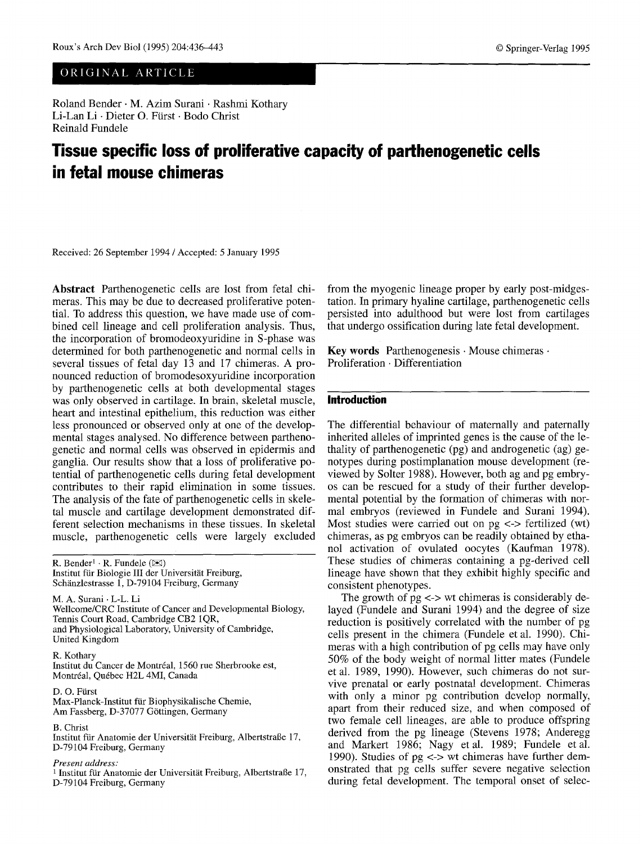# ORIGINAL ARTICLE

Roland Bender • M. Azim Surani • Rashmi Kothary Li-Lan Li · Dieter O. Fürst · Bodo Christ Reinald Fundele

# **Tissue specific loss of proliferative capacity of parthenogenetic cells in fetal mouse chimeras**

Received: 26 September 1994 / Accepted: 5 January 1995

**Abstract** Parthenogenetic cells are lost from fetal chimeras. This may be due to decreased proliferative potential. To address this question, we have made use of combined cell lineage and cell proliferation analysis. Thus, the incorporation of bromodeoxyuridine in S-phase was determined for both parthenogenetic and normal cells in several tissues of fetal day 13 and 17 chimeras. A pronounced reduction of bromodesoxyuridine incorporation by parthenogenetic cells at both developmental stages was only observed in cartilage. In brain, skeletal muscle, heart and intestinal epithelium, this reduction was either less pronounced or observed only at one of the developmental stages analysed. No difference between parthenogenetic and normal cells was observed in epidermis and ganglia. Our results show that a loss of proliferative potential of parthenogenetic cells during fetal development contributes to their rapid elimination in some tissues. The analysis of the fate of parthenogenetic cells in skeletal muscle and cartilage development demonstrated different selection mechanisms in these tissues. In skeletal muscle, parthenogenetic cells were largely excluded

R. Bender<sup>1</sup> · R. Fundele ( $\boxtimes$ ) Institut für Biologie III der Universität Freiburg, Schänzlestrasse 1, D-79104 Freiburg, Germany

M. A. Surani • L-L. Li Wellcome/CRC Institute of Cancer and Developmental Biology, Tennis Court Road, Cambridge CB2 1QR, and Physiological Laboratory, University of Cambridge, United Kingdom

R. Kothary Institut du Cancer de Montréal, 1560 rue Sherbrooke est, Montr6al, Qu6bec H2L 4MI, Canada

D. O. Fürst Max-Planck-Institut für Biophysikalische Chemie, Am Fassberg, D-37077 Göttingen, Germany

## B. Christ

Institut für Anatomie der Universität Freiburg, Albertstraße 17, D-79104 Freiburg, Germany

#### *Present address:*

<sup>1</sup> Institut für Anatomie der Universität Freiburg, Albertstraße 17, D-79104 Freiburg, Germany

from the myogenic lineage proper by early post-midgestation. In primary hyaline cartilage, parthenogenetic cells persisted into adulthood but were lost from cartilages that undergo ossification during late fetal development.

Key words Parthenogenesis · Mouse chimeras · Proliferation • Differentiation

## **Introduction**

The differential behaviour of maternally and paternally inherited alleles of imprinted genes is the cause of the lethality of parthenogenetic (pg) and androgenetic (ag) genotypes during postimplanation mouse development (reviewed by Solter 1988). However, both ag and pg embryos can be rescued for a study of their further developmental potential by the formation of chimeras with normal embryos (reviewed in Fundele and Surani 1994). Most studies were carried out on  $pg \leq$  fertilized (wt) chimeras, as pg embryos can be readily obtained by ethanol activation of ovulated oocytes (Kaufman 1978). These studies of chimeras containing a pg-derived cell lineage have shown that they exhibit highly specific and consistent phenotypes.

The growth of  $pg \le y$  wt chimeras is considerably delayed (Fundele and Surani 1994) and the degree of size reduction is positively correlated with the number of pg cells present in the chimera (Fundele et al. 1990). Chimeras with a high contribution of pg cells may have only 50% of the body weight of normal litter mates (Fundele et al. 1989, 1990). However, such chimeras do not survive prenatal or early postnatal development. Chimeras with only a minor pg contribution develop normally, apart from their reduced size, and when composed of two female cell lineages, are able to produce offspring derived from the pg lineage (Stevens 1978; Anderegg and Markert 1986; Nagy etal. 1989; Fundele etal. 1990). Studies of  $pg \leq v$  wt chimeras have further demonstrated that pg cells suffer severe negative selection during fetal development. The temporal onset of selec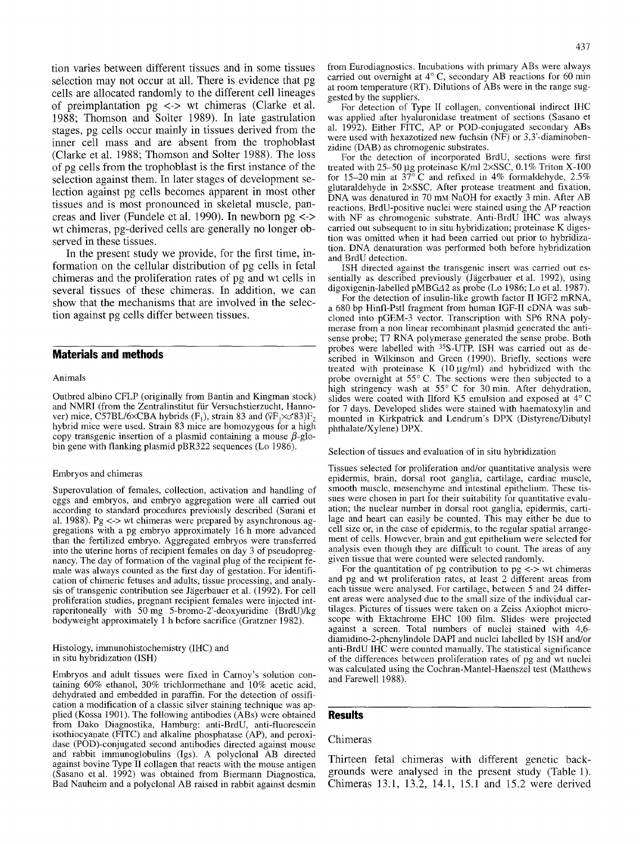tion varies between different tissues and in some tissues selection may not occur at all. There is evidence that pg cells are allocated randomly to the different cell lineages of preimplantation pg <-> wt chimeras (Clarke et al. 1988; Thomson and Solter 1989). In late gastrulation stages, pg cells occur mainly in tissues derived from the inner cell mass and are absent from the trophoblast (Clarke et al. 1988; Thomson and Solter 1988). The loss of pg cells from the trophoblast is the first instance of the selection against them. In later stages of development selection against pg cells becomes apparent in most other tissues and is most pronounced in skeletal muscle, pancreas and liver (Fundele et al. 1990). In newborn pg <-> wt chimeras, pg-derived cells are generally no longer observed in these tissues.

In the present study we provide, for the first time, information on the cellular distribution of pg cells in fetal chimeras and the proliferation rates of pg and wt cells in several tissues of these chimeras. In addition, we can show that the mechanisms that are involved in the selection against pg cells differ between tissues.

## **Materials and methods**

#### Animals

Outbred albino CFLP (originally from Bantin and Kingman stock) and NMRI (from the Zentralinstitut für Versuchstierzucht, Hannover) mice, C57BL/6×CBA hybrids (F<sub>1</sub>), strain 83 and ( $\sqrt{\frac{F_1}{G}}$  ×  $\sigma$ 83)F<sub>2</sub> hybrid mice were used. Strain 83 mice are homozygous for a high copy transgenic insertion of a plasmid containing a mouse  $\beta$ -globin gene with flanking plasmid pBR322 sequences (Lo 1986).

#### Embryos and chimeras

Superovulation of females, collection, activation and handling of eggs and embryos, and embryo aggregation were all carried out according to standard procedures previously described (Surani et al. 1988). Pg  $\leftarrow$  wt chimeras were prepared by asynchronous aggregations with a pg embryo approximately 16 h more advanced than the fertilized embryo. Aggregated embryos were transferred into the uterine horns of recipient females on day 3 of pseudopregnancy. The day of formation of the vaginal plug of the recipient female was always counted as the first day of gestation. For identification of chimeric fetuses and adults, tissue processing, and analysis of transgenic contribution see Jägerbauer et al. (1992). For cell proliferation studies, pregnant recipient females were injected intraperitoneally with 50 mg 5-bromo-2'-deoxyuridine (BrdU)/kg bodyweight approximately 1 h before sacrifice (Gratzner 1982).

#### Histology, immunohistochemistry (IHC) and in situ hybridization (ISH)

Embryos and adult tissues were fixed in Carnoy's solution containing 60% ethanol, 30% trichlormethane and 10% acetic acid, dehydrated and embedded in paraffin. For the detection of ossification a modification of a classic silver staining technique was applied (Kossa 1901). The following antibodies (ABs) were obtained from Dako Diagnostika, Hamburg: anti-BrdU, anti-fluorescein isothiocyanate (FITC) and alkaline phosphatase (AP), and peroxidase (POD)-conjugated second antibodies directed against mouse and rabbit immunoglobulins (Igs). A polyclonal AB directed against bovine Type II collagen that reacts with the mouse antigen (Sasano et al. 1992) was obtained from Biermann Diagnostica, Bad Nauheim and a polyclonal AB raised in rabbit against desmin

from Eurodiagnostics. Incubations with primary ABs were always carried out overnight at  $4^{\circ}$  C, secondary AB reactions for 60 min at room temperature (RT). Dilutions of ABs were in the range suggested by the suppliers.

For detection of Type II collagen, conventional indirect IHC was applied after hyaluronidase treatment of sections (Sasano et al. 1992). Either FITC, AP or POD-conjugated secondary ABs were used with hexazotized new fuchsin (NF) or 3,3'-diaminobenzidine (DAB) as chromogenic substrates.

For the detection of incorporated BrdU, sections were first treated with 25-50 µg proteinase K/ml 2×SSC, 0.1% Triton X-100 for 15–20 min at  $37^{\circ}$  C and refixed in 4% formaldehyde, 2.5% glutaraldehyde in 2xSSC. After protease treatment and fixation, DNA was denatured in 70 mm NaOH for exactly 3 min. After AB reactions, BrdU-positive nuclei were stained using the AP reaction with NF as chromogenic substrate. Anti-BrdU IHC was always carried out subsequent to in situ hybridization; proteinase K digestion was omitted when it had been carried out prior to hybridization. DNA denaturation was performed both before hybridization and BrdU detection.

ISH directed against the transgenic insert was carried out essentially as described previously (Jägerbauer et al. 1992), using digoxigenin-labelled pMBGA2 as probe (Lo 1986; Lo et al. 1987).

For the detection of insulin-like growth factor II IGF2 mRNA, a 680 bp Hinfl-Pstl fragment from human IGF-II cDNA was subcloned into pGEM-3 vector. Transcription with SP6 RNA polymerase from a non linear recombinant plasmid generated the antisense probe; T7 RNA polymerase generated the sense probe. Both probes were labelled with 35S-UTR ISH was carried out as described in Wilkinson and Green (1990). Briefly, sections were treated with proteinase K  $(10 \mu g/ml)$  and hybridized with the probe overnight at 55° C. The sections were then subjected to a high stringency wash at  $55^{\circ}$  C for 30 min. After dehydration, slides were coated with Ilford K5 emulsion and exposed at  $4^{\circ}$  C for 7 days. Developed slides were stained with haematoxylin and mounted in Kirkpatrick and Lendrum's DPX (Distyrene/Dibutyl phthalate/Xylene) DPX.

Selection of tissues and evaluation of in situ hybridization

Tissues selected for proliferation and/or quantitative analysis were epidermis, brain, dorsal root ganglia, cartilage, cardiac muscle, smooth muscle, mesenchyme and intestinal epithelium. These tissues were chosen in part for their suitability for quantitative evaluation; the nuclear number in dorsal root ganglia, epidermis, cartilage and heart can easily be counted. This may either be due to cell size or, in the case of epidermis, to the regular spatial arrangement of cells. However, brain and gut epithelium were selected for analysis even though they are difficult to count. The areas of any given tissue that were counted were selected randomly.

For the quantitation of pg contribution to  $pg \leq v$  wt chimeras and pg and wt proliferation rates, at least 2 different areas from each tissue were analysed. For cartilage, between 5 and 24 different areas were analysed due to the small size of the individual cartilages. Pictures of tissues were taken on a Zeiss Axiophot microscope with Ektachrome EHC 100 film. Slides were projected against a screen. Total numbers of nuclei stained with 4,6 diamidino-2-phenylindole DAPI and nuclei labelled by ISH and/or anti-BrdU IHC were counted manually. The statistical significance of the differences between proliferation rates of pg and wt nuclei was calculated using the Cochran-Mantel-Haenszel test (Matthews and Farewell 1988).

## **Results**

#### Chimeras

Thirteen fetal chimeras with different genetic backgrounds were analysed in the present study (Table 1). Chimeras 13.1, 13.2, 14.1, 15.1 and 15.2 were derived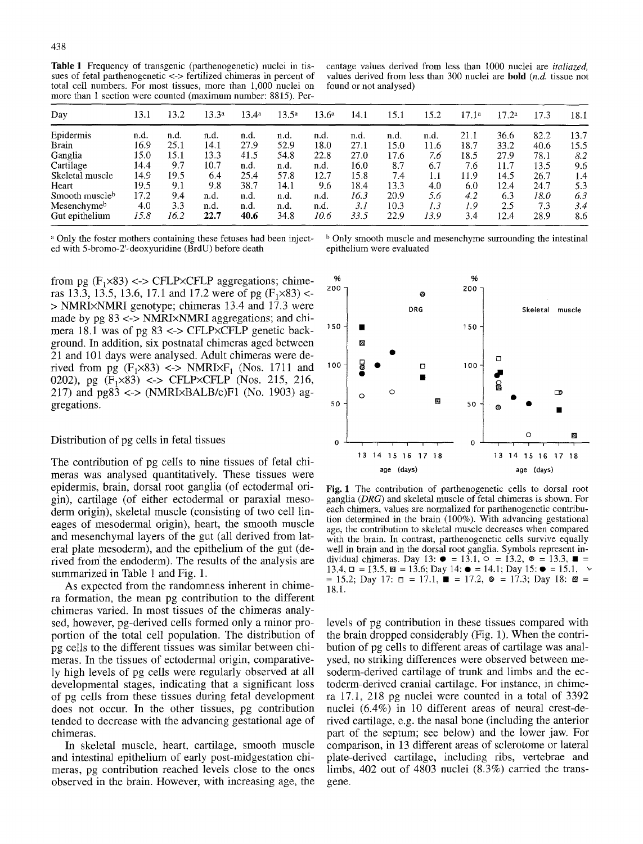Table 1 Frequency of transgenic (parthenogenetic) nuclei in tissues of fetal parthenogenetic <-> fertilized chimeras in percent of total cell numbers. For most tissues, more than 1,000 nuclei on more than 1 section were counted (maximum number: 8815). Per-

centage values derived from less than 1000 nuclei are *italiazed,*  values derived from less than 300 nuclei are bold *(n.d.* tissue not found or not analysed)

| Day             | 13.1 | 13.2 | 13.3a | 13.4 <sup>a</sup> | 13.5 <sup>a</sup> | 13.6 <sup>a</sup> | 14.1 | 15.1 | 15.2 | 17.1 <sup>a</sup> | 17.2a | 17.3 | 18.1 |
|-----------------|------|------|-------|-------------------|-------------------|-------------------|------|------|------|-------------------|-------|------|------|
| Epidermis       | n.d. | n.d. | n.d.  | n.d.              | n.d.              | n.d.              | n.d. | n.d. | n.d. | 21.1              | 36.6  | 82.2 | 13.7 |
| Brain           | 16.9 | 25.1 | 14.1  | 27.9              | 52.9              | 18.0              | 27.1 | 15.0 | 11.6 | 18.7              | 33.2  | 40.6 | 15.5 |
| Ganglia         | 15.0 | 15.1 | 13.3  | 41.5              | 54.8              | 22.8              | 27.0 | 17.6 | 7.6  | 18.5              | 27.9  | 78.1 | 8.2  |
| Cartilage       | 14.4 | 9.7  | 10.7  | n.d.              | n.d.              | n.d.              | 16.0 | 8.7  | 6.7  | 7.6               | 11.7  | 13.5 | 9.6  |
| Skeletal muscle | 14.9 | 19.5 | 6.4   | 25.4              | 57.8              | 12.7              | 15.8 | 7.4  | 1.1  | 11.9              | 14.5  | 26.7 | 1.4  |
| Heart           | 19.5 | 9.1  | 9.8   | 38.7              | 14.1              | 9.6               | 18.4 | 13.3 | 4.0  | 6.0               | 12.4  | 24.7 | 5.3  |
| Smooth muscleb  | 17.2 | 9.4  | n.d.  | n.d.              | n.d.              | n.d.              | 16.3 | 20.9 | 5.6  | 4.2               | 6.3   | 18.0 | 6.3  |
| Mesenchymeb     | 4.0  | 3.3  | n.d.  | n.d.              | n.d.              | n.d.              | 3. I | 10.3 | 1.3  | 1.9               | 2.5   | 7.3  | 3.4  |
| Gut epithelium  | 15.8 | 16.2 | 22.7  | 40.6              | 34.8              | 10.6              | 33.5 | 22.9 | 13.9 | 3.4               | 12.4  | 28.9 | 8.6  |

<sup>a</sup> Only the foster mothers containing these fetuses had been inject-<br>ed with 5-bromo-2'-deoxyuridine (BrdU) before death<br>epithelium were evaluated ed with 5-bromo-2'-deoxyuridine (BrdU) before death

from pg  $(F_1 \times 83) \leq FLP \times CFLP$  aggregations; chimeras 13.3, 13.5, 13.6, 17.1 and 17.2 were of pg  $(F_1 \times 83)$  <-> NMRIxNMRI genotype; chimeras 13.4 and 17.3 were made by pg 83 <-> NMRIxNMRI aggregations; and chimera 18.1 was of pg  $83 \le$ > CFLP×CFLP genetic back- <sup>150</sup> ground. In addition, six postnatal chimeras aged between 21 and 101 days were analysed. Adult chimeras were derived from pg  $(F_1 \times 83)$  <-> NMRI $\times F_1$  (Nos. 1711 and <sup>100</sup> 0202), pg  $(F_1 \times 83)$  <-> CFLP $\times$ CFLP (Nos. 215, 216, 217) and  $pg83 \leq$  (NMRI $\times$ BALB/c)F1 (No. 1903) aggregations, **so** 

#### Distribution of pg cells in fetal tissues

The contribution of pg cells to nine tissues of fetal chimeras was analysed quantitatively. These tissues were epidermis, brain, dorsal root ganglia (of ectodermal origin), cartilage (of either ectodermal or paraxial mesoderm origin), skeletal muscle (consisting of two cell lineages of mesodermal origin), heart, the smooth muscle and mesenchymal layers of the gut (all derived from lateral plate mesoderm), and the epithelium of the gut (derived from' the endoderm). The results of the analysis are summarized in Table 1 and Fig. 1.

As expected from the randomness inherent in chimera formation, the mean pg contribution to the different chimeras varied. In most tissues of the chimeras analysed, however, pg-derived cells formed only a minor proportion of the total cell population. The distribution of pg cells to the different tissues was similar between chimeras. In the tissues of ectodermal origin, comparatively high levels of pg cells were regularly observed at all developmental stages, indicating that a significant loss of pg cells from these tissues during fetal development does not occur. In the other tissues, pg contribution tended to decrease with the advancing gestational age of chimeras.

In skeletal muscle, heart, cartilage, smooth muscle and intestinal epithelium of early post-midgestation chimeras, pg contribution reached levels close to the ones observed in the brain. However, with increasing age, the



Fig. 1 The contribution of parthenogenetic cells to dorsal root ganglia *(DRG)* and skeletal muscle of fetal chimeras is shown. For each chimera, values are normalized for parthenogenetic contribution determined in the brain (100%). With advancing gestational age, the contribution to skeletal muscle decreases when compared with the brain. In contrast, parthenogenetic cells survive equally well in brain and in the dorsal root ganglia. Symbols represent individual chimeras. Day 13:  $\bullet = 13.1$ ,  $\circ = 13.2$ ,  $\bullet = 13.3$ ,  $\blacksquare = \blacksquare$ 13.4,  $\Box$  = 13.5,  $\boxtimes$  = 13.6; Day 14:  $\bullet$  = 14.1; Day 15:  $\bullet$  = 15.1,  $\sim$  $= 15.2$ ; Day 17:  $\Box = 17.1$ ,  $\blacksquare = 17.2$ ,  $\Phi = 17.3$ ; Day 18:  $\boxtimes =$ 18.1.

levels of pg contribution in these tissues compared with the brain dropped considerably (Fig. 1). When the contribution of pg cells to different areas of cartilage was analysed, no striking differences were observed between mesoderm-derived cartilage of trunk and limbs and the ectoderm-derived cranial cartilage. For instance, in chimera 17.1, 218 pg nuclei were counted in a total of 3392 nuclei (6.4%) in 10 different areas of neural crest-derived cartilage, e.g. the nasal bone (including the anterior part of the septum; see below) and the lower jaw. For comparison, in 13 different areas of sclerotome or lateral plate-derived cartilage, including ribs, vertebrae and limbs, 402 out of 4803 nuclei (8.3%) carried the transgene.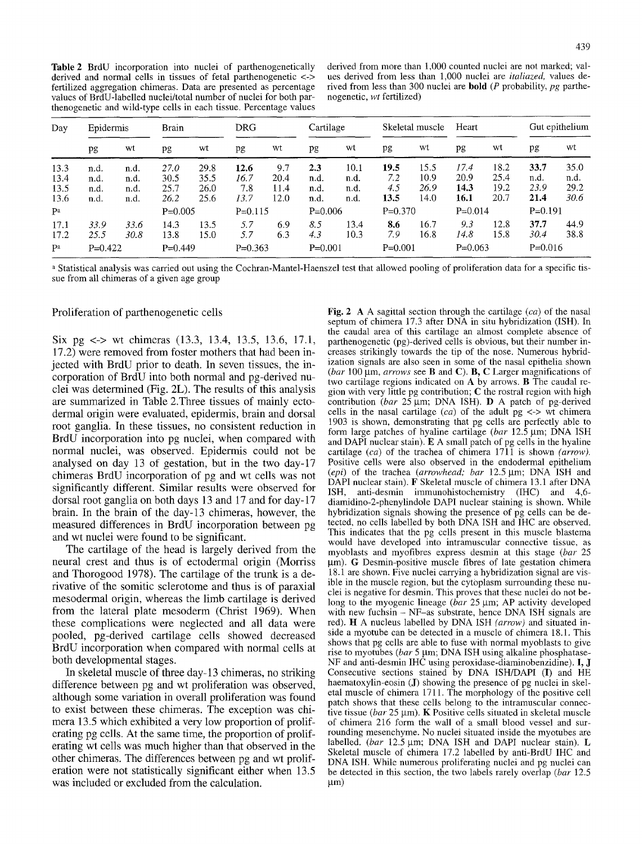Table 2 BrdU incorporation into nuclei of parthenogenetically derived and normal cells in tissues of fetal parthenogenetic <-> fertilized aggregation chimeras. Data are presented as percentage values of BrdU-labelled nuclei/total number of nuclei for both parthenogenetic and wild-type cells in each tissue. Percentage values derived from more than 1,000 counted nuclei are not marked; values derived from less than 1,000 nuclei are *italiazed,* values derived from less than 300 nuclei are bold (P probability, *pg* parthenogenetic, *wt* fertilized)

| Day  | Epidermis |      | <b>Brain</b> |           | <b>DRG</b> |           | Cartilage |           | Skeletal muscle |           | Heart     |           | Gut epithelium |      |
|------|-----------|------|--------------|-----------|------------|-----------|-----------|-----------|-----------------|-----------|-----------|-----------|----------------|------|
|      | pg        | wt   | pg           | wt        | pg         | wt        | pg        | wt        | pg              | wt        | pg        | wt        | pg             | wt   |
| 13.3 | n.d.      | n.d. | 27.0         | 29.8      | 12.6       | 9.7       | 2.3       | 10.1      | 19.5            | 15.5      | 17.4      | 18.2      | 33.7           | 35.0 |
| 13.4 | n.d.      | n.d. | 30.5         | 35.5      | 16.7       | 20.4      | n.d.      | n.d.      | 7.2             | 10.9      | 20.9      | 25.4      | n.d.           | n.d. |
| 13.5 | n.d.      | n.d. | 25.7         | 26.0      | 7.8        | 11.4      | n.d.      | n.d.      | 4.5             | 26.9      | 14.3      | 19.2      | 23.9           | 29.2 |
| 13.6 | n.d.      | n.d. | 26.2         | 25.6      | 13.7       | 12.0      | n.d.      | n.d.      | 13.5            | 14.0      | 16.1      | 20.7      | 21.4           | 30.6 |
| Pa   | $P=0.005$ |      |              | $P=0.115$ |            | $P=0.006$ |           | $P=0.370$ |                 | $P=0.014$ |           | $P=0.191$ |                |      |
| 17.1 | 33.9      | 33.6 | 14.3         | 13.5      | 5.7        | 6.9       | 8.5       | 13.4      | 8.6             | 16.7      | 9.3       | 12.8      | 37.7           | 44.9 |
| 17.2 | 25.5      | 30.8 | 13.8         | 15.0      | 5.7        | 6.3       | 4,3       | 10.3      | 7.9             | 16.8      | 14.8      | 15.8      | 30.4           | 38.8 |
| Pa   | $P=0.422$ |      | $P=0.449$    |           | $P=0.363$  |           | $P=0.001$ |           | $P=0.001$       |           | $P=0.063$ |           | $P=0.016$      |      |

a Statistical analysis was carried out using the Cochran-Mantel-Haenszel test that allowed pooling of proliferation data for a specific tissue from all chimeras of a given age group

#### Proliferation of parthenogenetic cells

Six pg <-> wt chimeras (13.3, 13.4, 13.5, 13.6, 17.1, 17.2) were removed from foster mothers that had been injected with BrdU prior to death. In seven tissues, the incorporation of BrdU into both normal and pg-derived nuclei was determined (Fig. 2L). The results of this analysis are summarized in Table 2.Three tissues of mainly ectodermal origin were evaluated, epidermis, brain and dorsal root ganglia. In these tissues, no consistent reduction in BrdU incorporation into pg nuclei, when compared with normal nuclei, was observed. Epidermis could not be analysed on day 13 of gestation, but in the two day-17 chimeras BrdU incorporation of pg and wt cells was not significantly different. Similar results were observed for dorsal root ganglia on both days 13 and 17 and for day-17 brain. In the brain of the day-13 chimeras, however, the measured differences in BrdU incorporation between pg and wt nuclei were found to be significant.

The cartilage of the head is largely derived from the neural crest and thus is of ectodermal origin (Morriss and Thorogood 1978). The cartilage of the trunk is a derivative of the somitic sclerotome and thus is of paraxial mesodermal origin, whereas the limb cartilage is derived from the lateral plate mesoderm (Christ 1969). When these complications were neglected and all data were pooled, pg-derived cartilage cells showed decreased BrdU incorporation when compared with normal cells at both developmental stages.

In skeletal muscle of three day-13 chimeras, no striking difference between pg and wt proliferation was observed, although some variation in overall proliferation was found to exist between these chimeras. The exception was chimera 13.5 which exhibited a very low proportion of proliferating pg cells. At the same time, the proportion of proliferating wt cells was much higher than that observed in the other chimeras. The differences between pg and wt proliferation were not statistically significant either when 13.5 was included or excluded from the calculation.

Fig. 2 A A sagittal section through the cartilage *(ca)* of the nasal septum of chimera 17.3 after DNA in situ hybridization (ISH). In the caudal area of this cartilage an almost complete absence of parthenogenetic (pg)-derived cells is obvious, but their number increases strikingly towards the tip of the nose. Numerous hybridization signals are also seen in some of the nasal epithelia shown *(bar* 100 gm, *arrows* see B and C). B, C Larger magnifications of two cartilage regions indicated on A by arrows. B The caudal region with very little pg contribution;  $C$  the rostral region with high contribution (bar 25 µm; DNA ISH). D A patch of pg-derived cells in the nasal cartilage  $(ca)$  of the adult  $pg \leq v$  wt chimera 1903 is shown, demonstrating that pg cells are perfectly able to form large patches of hyaline cartilage *(bar* 12.5 µm; DNA ISH and DAPI nuclear stain). E A small patch of pg cells in the hyaline cartilage *(ca)* of the trachea of chimera 1711 is shown *(arrow).*  Positive cells were also observed in the endodermal epithelium *(epi)* of the trachea *(arrowhead; bar* 12.5 µm; DNA ISH and DAPI nuclear stain). F Skeletal muscle of chimera 13.1 after DNA<br>ISH, anti-desmin immunohistochemistry (IHC) and 4,6anti-desmin immunohistochemistry  $(HC)$  and 4,6diamidino-2-phenylindole DAPI nuclear staining is shown. While hybridization signals showing the presence of pg cells can be detected, no cells labelled by both DNA ISH and IHC are observed. This indicates that the pg cells present in this muscle blastema would have developed into intramuscular connective tissue, as myoblasts and myofibres express desmin at this stage *(bar* 25  $\mu$ m). G Desmin-positive muscle fibres of late gestation chimera 18.1 are shown. Five nuclei carrying a hybridization signal are visible in the muscle region, but the cytoplasm surrounding these nuclei is negative for desmin. This proves that these nuclei do not belong to the myogenic lineage *(bar 25 µm; AP activity developed* with new fuchsin – NF-as substrate, hence DNA ISH signals are red). H A nucleus labelled by DNA ISH *(arrow)* and situated inside a myotube can be detected in a muscle of chimera 18.1. This shows that pg cells are able to fuse with normal myoblasts to give rise to myotubes *(bar 5 µm; DNA ISH using alkaline phosphatase-*NF and anti-desmin IHC using peroxidase-diaminobenzidine). I, J Consecutive sections stained by DNA ISH/DAPI (I) and HE haematoxylin-eosin (J) showing the presence of pg nuclei in skeletal muscle of chimera 1711. The morphology of the positive cell patch shows that these cells belong to the intramuscular connective tissue *(bar* 25 µm). K Positive cells situated in skeletal muscle of chimera 216 form the wall of a small blood vessel and surrounding mesenchyme. No nuclei situated inside the myotubes are labelled. *(bar* 12.5 µm; DNA ISH and DAPI nuclear stain). L Skeletal muscle of chimera 17.2 labelled by anti-BrdU IHC and DNA ISH. While numerous proliferating nuclei and pg nuclei can be detected in this section, the two labels rarely overlap *(bar* 12.5  $µm)$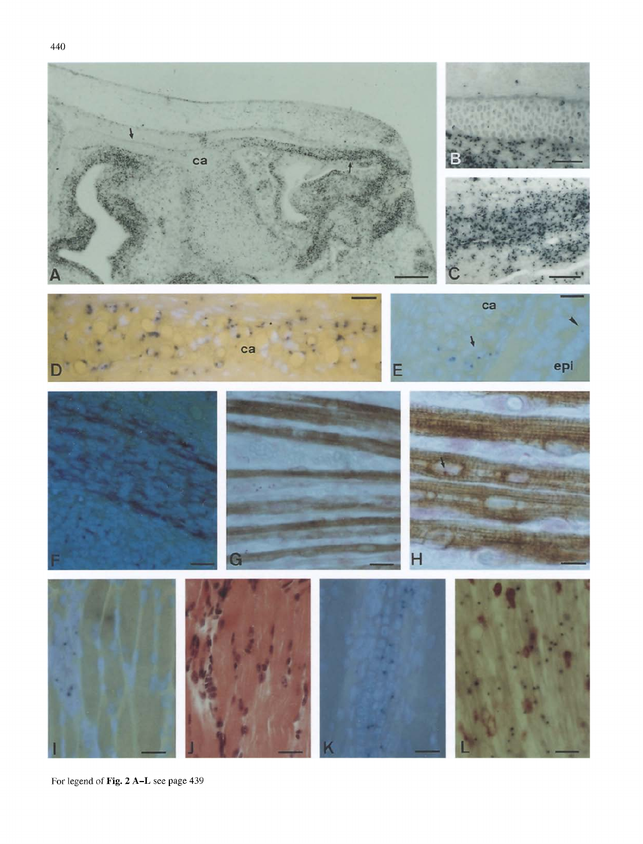

For legend of Fig. 2 A-L see page 439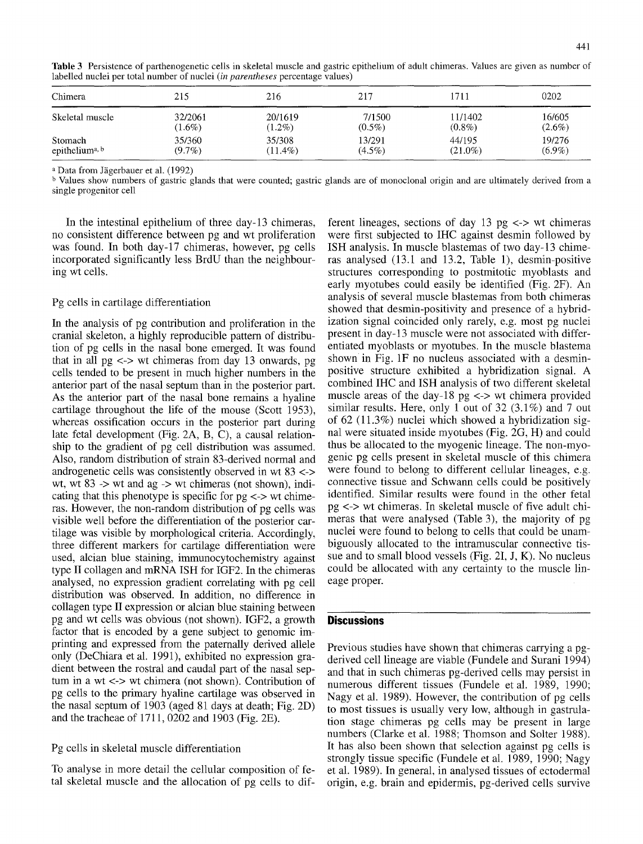| Chimera                    | 215       | 216        | 217       | 1711       | 0202      |
|----------------------------|-----------|------------|-----------|------------|-----------|
| Skeletal muscle            | 32/2061   | 20/1619    | 7/1500    | 11/1402    | 16/605    |
|                            | $(1.6\%)$ | $(1.2\%)$  | $(0.5\%)$ | $(0.8\%)$  | $(2.6\%)$ |
| Stomach                    | 35/360    | 35/308     | 13/291    | 44/195     | 19/276    |
| epithelium <sup>a, b</sup> | $(9.7\%)$ | $(11.4\%)$ | $(4.5\%)$ | $(21.0\%)$ | $(6.9\%)$ |

Table 3 Persistence of parthenogenetic cells in skeletal muscle and gastric epithelium of adult chimeras. Values are given as number of labelled nuclei per total number of nuclei *(in parentheses* percentage values)

<sup>a</sup> Data from Jägerbauer et al. (1992)

b Values show numbers of gastric glands that were counted; gastric glands are of monoclonal origin and are ultimately derived from a single progenitor cell

In the intestinal epithelium of three day-13 chimeras, no consistent difference between pg and wt proliferation was found. In both day-17 chimeras, however, pg cells incorporated significantly less BrdU than the neighbouring wt cells.

### Pg cells in cartilage differentiation

In the analysis of pg contribution and proliferation in the cranial skeleton, a highly reproducible pattern of distribution of pg cells in the nasal bone emerged. It was found that in all  $pg \leq v$  wt chimeras from day 13 onwards, pg cells tended to be present in much higher numbers in the anterior part of the nasal septum than in the posterior part. As the anterior part of the nasal bone remains a hyaline cartilage throughout the life of the mouse (Scott 1953), whereas ossification occurs in the posterior part during late fetal development (Fig. 2A, B, C), a causal relationship to the gradient of pg cell distribution was assumed. Also, random distribution of strain 83-derived normal and androgenetic cells was consistently observed in wt 83 <-> wt, wt  $83 \rightarrow \text{wt}$  and ag  $\rightarrow \text{wt}$  chimeras (not shown), indicating that this phenotype is specific for  $pg \leq v$  wt chimeras. However, the non-random distribution of pg cells was visible well before the differentiation of the posterior cartilage was visible by morphological criteria. Accordingly, three different markers for cartilage differentiation were used, alcian blue staining, immunocytochemistry against type II collagen and mRNA ISH for IGF2. In the chimeras analysed, no expression gradient correlating with pg cell distribution was observed. In addition, no difference in collagen type II expression or alcian blue staining between pg and wt cells was obvious (not shown). IGF2, a growth factor that is encoded by a gene subject to genomic imprinting and expressed from the paternally derived allele only (DeChiara et al. 1991), exhibited no expression gradient between the rostral and caudal part of the nasal septum in a wt <-> wt chimera (not shown). Contribution of pg cells to the primary hyaline cartilage was observed in the nasal septum of 1903 (aged 81 days at death; Fig. 2D) and the tracheae of 1711, 0202 and 1903 (Fig. 2E).

## Pg cells in skeletal muscle differentiation

To analyse in more detail the cellular composition of fetal skeletal muscle and the allocation of pg cells to dif-

ferent lineages, sections of day 13 pg  $\lt\gt$  wt chimeras were first subjected to IHC against desmin followed by ISH analysis. In muscle blastemas of two day-13 chimeras analysed (13.1 and 13.2, Table 1), desmin-positive structures corresponding to postmitotic myoblasts and early myotubes could easily be identified (Fig. 2F). An analysis of several muscle blastemas from both chimeras showed that desmin-positivity and presence of a hybridization signal coincided only rarely, e.g. most pg nuclei present in day-13 muscle were not associated with differentiated myoblasts or myotubes. In the muscle blastema shown in Fig. 1F no nucleus associated with a desminpositive structure exhibited a hybridization signal. A combined IHC and ISH analysis of two different skeletal muscle areas of the day-18 pg  $\lt$ -> wt chimera provided similar results. Here, only 1 out of 32 (3.1%) and 7 out of 62 (11.3%) nuclei which showed a hybridization signal were situated inside myotubes (Fig. 2G, H) and could thus be allocated to the myogenic lineage. The non-myogenic pg cells present in skeletal muscle of this chimera were found to belong to different cellular lineages, e.g. connective tissue and Schwann cells could be positively identified. Similar results were found in the other fetal pg <-> wt chimeras. In skeletal muscle of five adult chimeras that were analysed (Table 3), the majority of pg nuclei were found to belong to cells that could be unambiguously allocated to the intramuscular connective tissue and to small blood vessels (Fig. 2I, J, K). No nucleus could be allocated with any certainty to the muscle lineage proper.

## **Discussions**

Previous studies have shown that chimeras carrying a pgderived cell lineage are viable (Fundele and Surani 1994) and that in such chimeras pg-derived cells may persist in numerous different tissues (Fundele et al. 1989, 1990; Nagy et al. 1989). However, the contribution of pg cells to most tissues is usually very low, although in gastrulation stage chimeras pg cells may be present in large numbers (Clarke et al. 1988; Thomson and Solter 1988). It has also been shown that selection against pg cells is strongly tissue specific (Fundele et al. 1989, 1990; Nagy et al. 1989). In general, in analysed tissues of ectodermal origin, e.g. brain and epidermis, pg-derived cells survive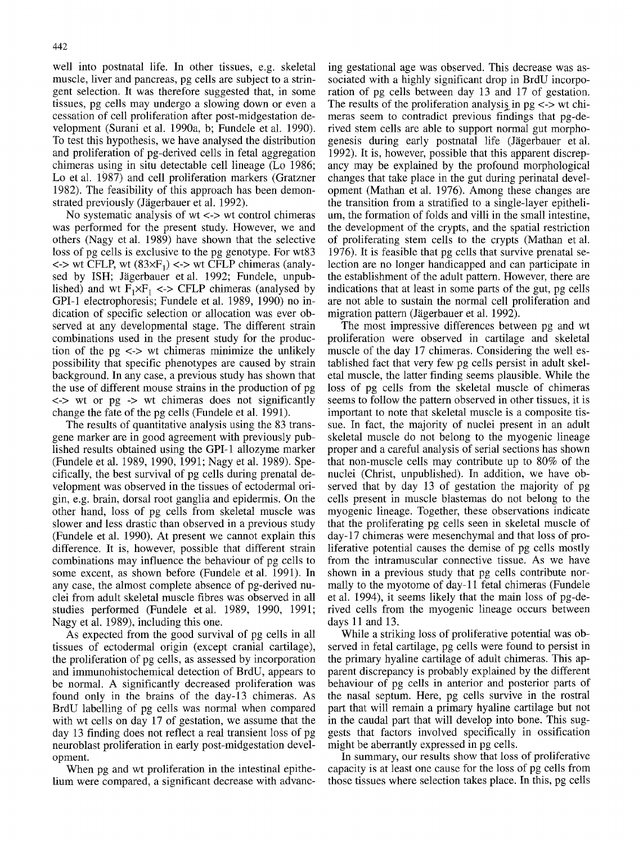well into postnatal life. In other tissues, e.g. skeletal muscle, liver and pancreas, pg cells are subject to a stringent selection. It was therefore suggested that, in some tissues, pg cells may undergo a slowing down or even a cessation of cell proliferation after post-midgestation development (Surani et al. 1990a, b; Fundele et al. 1990). To test this hypothesis, we have analysed the distribution and proliferation of pg-derived cells in fetal aggregation chimeras using in situ detectable cell lineage (Lo 1986; Lo et al. 1987) and cell proliferation markers (Gratzner 1982). The feasibility of this approach has been demonstrated previously (Jägerbauer et al. 1992).

No systematic analysis of  $wt \le$  > wt control chimeras was performed for the present study. However, we and others (Nagy et al. 1989) have shown that the selective loss of pg cells is exclusive to the pg genotype. For wt83  $\langle$  <-> wt CFLP, wt (83 $\times$ F<sub>1</sub>) <-> wt CFLP chimeras (analysed by ISH; Jägerbauer et al. 1992; Fundele, unpublished) and wt  $F_1 \times F_1 \leq F_2$  CFLP chimeras (analysed by GPI-1 electrophoresis; Fundele et al. 1989, 1990) no indication of specific selection or allocation was ever observed at any developmental stage. The different strain combinations used in the present study for the production of the  $pg \leq v$  wt chimeras minimize the unlikely possibility that specific phenotypes are caused by strain background. In any case, a previous study has shown that the use of different mouse strains in the production of pg  $\le$   $>$  wt or pg  $\ge$  wt chimeras does not significantly change the fate of the pg cells (Fundele et al. 1991).

The results of quantitative analysis using the 83 transgene marker are in good agreement with previously published results obtained using the GPI-1 allozyme marker (Fundele et al. 1989, 1990, 1991; Nagy et al. 1989). Specifically, the best survival of pg cells during prenatal development was observed in the tissues of ectodermal origin, e.g. brain, dorsal root ganglia and epidermis. On the other hand, loss of pg cells from skeletal muscle was slower and less drastic than observed in a previous study (Fundele et al. 1990). At present we cannot explain this difference. It is, however, possible that different strain combinations may influence the behaviour of pg cells to some excent, as shown before (Fundele et al. 1991). In any case, the almost complete absence of pg-derived nuclei from adult skeletal muscle fibres was observed in all studies performed (Fundele etal. 1989, 1990, 1991; Nagy et al. 1989), including this one.

As expected from the good survival of pg cells in all tissues of ectodermal origin (except cranial cartilage), the proliferation of pg cells, as assessed by incorporation and immunohistochemical detection of BrdU, appears to be normal. A significantly decreased proliferation was found only in the brains of the day-13 chimeras. As BrdU labelling of pg cells was normal when compared with wt cells on day 17 of gestation, we assume that the day 13 finding does not reflect a real transient loss of pg neuroblast proliferation in early post-midgestation development.

When pg and wt proliferation in the intestinal epithelium were compared, a significant decrease with advanc-

ing gestational age was observed. This decrease was associated with a highly significant drop in BrdU incorporation of pg cells between day 13 and 17 of gestation. The results of the proliferation analysis in  $pg \ll v$  wt chimeras seem to contradict previous findings that pg-derived stem cells are able to support normal gut morphogenesis during early postnatal life (Jägerbauer et al. 1992). It is, however, possible that this apparent discrepancy may be explained by the profound morphological changes that take place in the gut during perinatal development (Mathan et al. 1976). Among these changes are the transition from a stratified to a single-layer epithelium, the formation of folds and villi in the small intestine, the development of the crypts, and the spatial restriction of proliferating stem cells to the crypts (Mathan et al. 1976). It is feasible that pg cells that survive prenatal selection are no longer handicapped and can participate in the establishment of the adult pattern. However, there are indications that at least in some parts of the gut, pg cells are not able to sustain the normal cell proliferation and migration pattern (Jägerbauer et al. 1992).

The most impressive differences between pg and wt proliferation were observed in cartilage and skeletal muscle of the day 17 chimeras. Considering the well established fact that very few pg cells persist in adult skeletal muscle, the latter finding seems plausible. While the loss of pg cells from the skeletal muscle of chimeras seems to follow the pattern observed in other tissues, it is important to note that skeletal muscle is a composite tissue. In fact, the majority of nuclei present in an adult skeletal muscle do not belong to the myogenic lineage proper and a careful analysis of serial sections has shown that non-muscle cells may contribute up to 80% of the nuclei (Christ, unpublished). In addition, we have observed that by day 13 of gestation the majority of pg cells present in muscle blastemas do not belong to the myogenic lineage. Together, these observations indicate that the proliferating pg cells seen in skeletal muscle of day-17 chimeras were mesenchymal and that loss of proliferative potential causes the demise of pg cells mostly from the intramuscular connective tissue. As we have shown in a previous study that pg cells contribute normally to the myotome of day- 11 fetal chimeras (Fundele et al. 1994), it seems likely that the main loss of pg-derived cells from the myogenic lineage occurs between days 11 and 13.

While a striking loss of proliferative potential was observed in fetal cartilage, pg cells were found to persist in the primary hyaline cartilage of adult chimeras. This apparent discrepancy is probably explained by the different behaviour of pg cells in anterior and posterior parts of the nasal septum. Here, pg cells survive in the rostral part that will remain a primary hyaline cartilage but not in the caudal part that will develop into bone. This suggests that factors involved specifically in ossification might be aberrantly expressed in pg cells.

In summary, our results show that loss of proliferative capacity is at least one cause for the loss of pg cells from those tissues where selection takes place. In this, pg cells